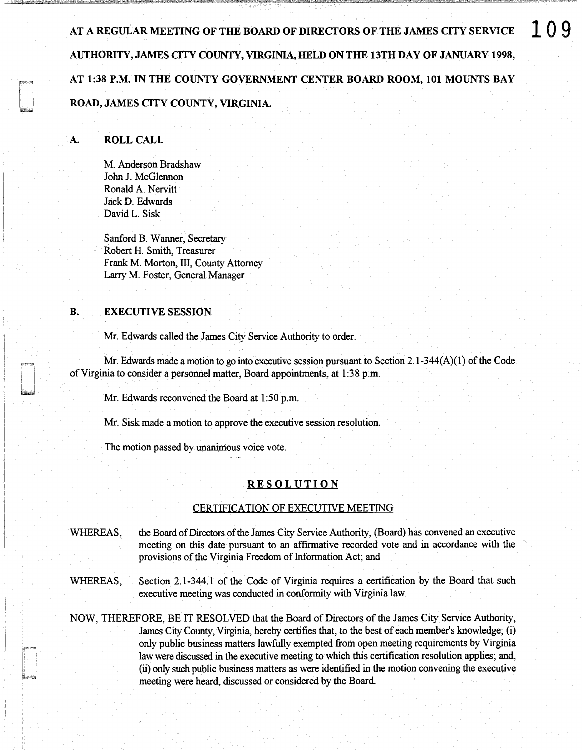AT A REGULAR MEETING OF THE BOARD OF DIRECTORS OF THE JAMES CITY SERVICE  $\Box$  () 9 AUTHORITY, JAMES QTY COUNTY, VIRGINIA, HELD ON THE 13TH DAY OF JANUARY 1998, AT 1:38 P.M. IN THE COUNTY GOVERNMENT CENTER BOARD ROOM, 101 MOUNTS BAY ROAD, JAMES CITY COUNTY, VIRGINIA.

## A. ROLL CALL

M. Anderson Bradshaw John J. McGlennon Ronald A. Nervitt Jack D. Edwards David L. Sisk

Sanford B. Wanner, Secretary Robert H. Smith, Treasurer Frank M. Morton, III, County Attorney Larry M. Foster, General Manager

## B. EXECUTIVE SESSION

Mr. Edwards called the James City Service Authority to order.

Mr. Edwards made a motion to go into executive session pursuant to Section 2.1-344(A)(l) of the Code of Virginia to consider a personnel matter, Board appointments, at 1:38 p.m.

Mr. Edwards reconvened the Board at 1:50 p.m.

Mr. Sisk made a motion to approve the executive session resolution.

The motion passed by unanimous voice vote.

## **RESOLUTION**

## CERTIFICATION OF EXECUTIVE MEETING

- WHEREAS, the Board of Directors of the James City Service Authority, (Board) has convened an executive meeting on this date pursuant to an affirmative recorded vote and in accordance with the provisions of the Virginia Freedom of Information Act; and
- WHEREAS, Section 2.1-344.1 of the Code of Virginia requires a certification by the Board that such executive meeting was conducted in conformity with Virginia law.

NOW, THEREFORE, BE IT RESOLVED that the Board of Directors of the James City Service Authority, James City County, Virginia, hereby certifies that, to the best of each member's knowledge; (i) only public business matters lawfully exempted from open meeting requirements by Virginia law were discussed in the executive meeting to which this certification resolution applies; and, (ii) only such public business matters as were identified in the motion convening the executive meeting were heard, discussed or considered by the Board.